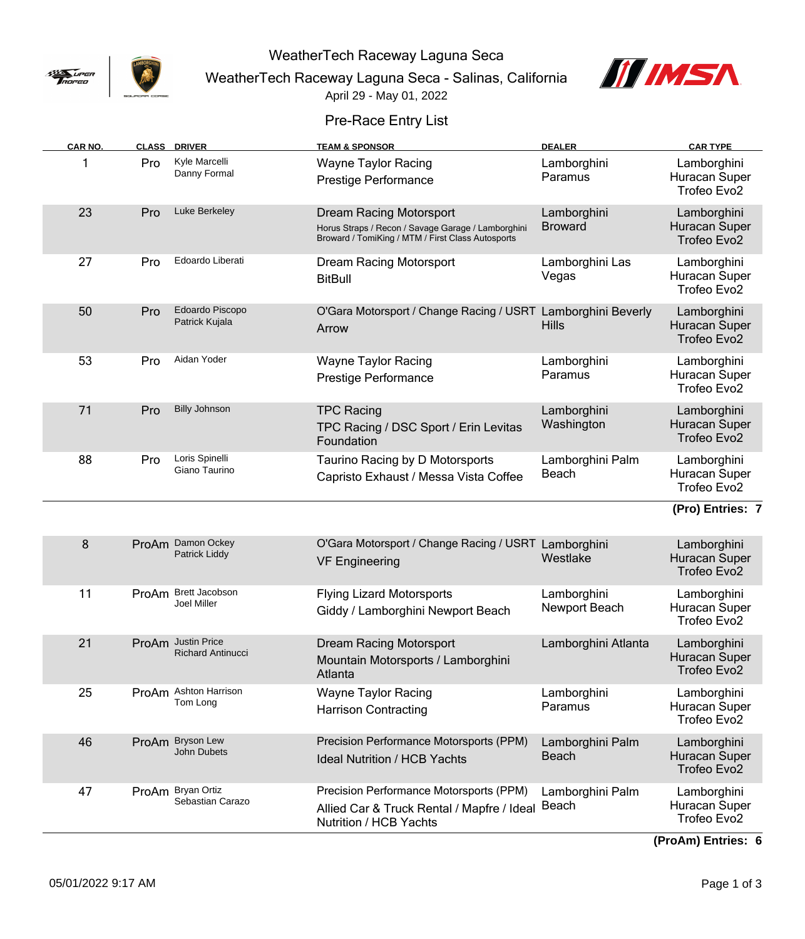

WeatherTech Raceway Laguna Seca

WeatherTech Raceway Laguna Seca - Salinas, California



April 29 - May 01, 2022

## Pre-Race Entry List

| CAR NO. |       | <b>CLASS DRIVER</b>                             | <b>TEAM &amp; SPONSOR</b>                                                                                                                 | <b>DEALER</b>                    | <b>CAR TYPE</b>                                    |
|---------|-------|-------------------------------------------------|-------------------------------------------------------------------------------------------------------------------------------------------|----------------------------------|----------------------------------------------------|
| 1       | Pro   | Kyle Marcelli<br>Danny Formal                   | <b>Wayne Taylor Racing</b><br>Prestige Performance                                                                                        | Lamborghini<br>Paramus           | Lamborghini<br>Huracan Super<br>Trofeo Evo2        |
| 23      | Pro   | Luke Berkeley                                   | <b>Dream Racing Motorsport</b><br>Horus Straps / Recon / Savage Garage / Lamborghini<br>Broward / TomiKing / MTM / First Class Autosports | Lamborghini<br><b>Broward</b>    | Lamborghini<br>Huracan Super<br>Trofeo Evo2        |
| 27      | Pro   | Edoardo Liberati                                | <b>Dream Racing Motorsport</b><br><b>BitBull</b>                                                                                          | Lamborghini Las<br>Vegas         | Lamborghini<br>Huracan Super<br>Trofeo Evo2        |
| 50      | Pro   | Edoardo Piscopo<br>Patrick Kujala               | O'Gara Motorsport / Change Racing / USRT Lamborghini Beverly<br>Arrow                                                                     | <b>Hills</b>                     | Lamborghini<br><b>Huracan Super</b><br>Trofeo Evo2 |
| 53      | Pro   | Aidan Yoder                                     | <b>Wayne Taylor Racing</b><br><b>Prestige Performance</b>                                                                                 | Lamborghini<br>Paramus           | Lamborghini<br>Huracan Super<br>Trofeo Evo2        |
| 71      | Pro   | <b>Billy Johnson</b>                            | <b>TPC Racing</b><br>TPC Racing / DSC Sport / Erin Levitas<br>Foundation                                                                  | Lamborghini<br>Washington        | Lamborghini<br>Huracan Super<br>Trofeo Evo2        |
| 88      | Pro   | Loris Spinelli<br>Giano Taurino                 | Taurino Racing by D Motorsports<br>Capristo Exhaust / Messa Vista Coffee                                                                  | Lamborghini Palm<br>Beach        | Lamborghini<br>Huracan Super<br>Trofeo Evo2        |
|         |       |                                                 |                                                                                                                                           |                                  | (Pro) Entries: 7                                   |
| 8       |       | ProAm Damon Ockey<br>Patrick Liddy              | O'Gara Motorsport / Change Racing / USRT Lamborghini<br><b>VF Engineering</b>                                                             | Westlake                         | Lamborghini<br>Huracan Super<br>Trofeo Evo2        |
| 11      | ProAm | Brett Jacobson<br>Joel Miller                   | <b>Flying Lizard Motorsports</b><br>Giddy / Lamborghini Newport Beach                                                                     | Lamborghini<br>Newport Beach     | Lamborghini<br>Huracan Super<br>Trofeo Evo2        |
| 21      | ProAm | <b>Justin Price</b><br><b>Richard Antinucci</b> | <b>Dream Racing Motorsport</b><br>Mountain Motorsports / Lamborghini<br>Atlanta                                                           | Lamborghini Atlanta              | Lamborghini<br>Huracan Super<br>Trofeo Evo2        |
| 25      |       | ProAm Ashton Harrison<br>Tom Long               | <b>Wayne Taylor Racing</b><br><b>Harrison Contracting</b>                                                                                 | Lamborghini<br>Paramus           | Lamborghini<br>Huracan Super<br>Trofeo Evo2        |
| 46      | ProAm | <b>Bryson Lew</b><br>John Dubets                | Precision Performance Motorsports (PPM)<br><b>Ideal Nutrition / HCB Yachts</b>                                                            | Lamborghini Palm<br><b>Beach</b> | Lamborghini<br>Huracan Super<br>Trofeo Evo2        |
| 47      |       | ProAm Bryan Ortiz<br>Sebastian Carazo           | Precision Performance Motorsports (PPM)<br>Allied Car & Truck Rental / Mapfre / Ideal<br>Nutrition / HCB Yachts                           | Lamborghini Palm<br>Beach        | Lamborghini<br>Huracan Super<br>Trofeo Evo2        |

**(ProAm) Entries: 6**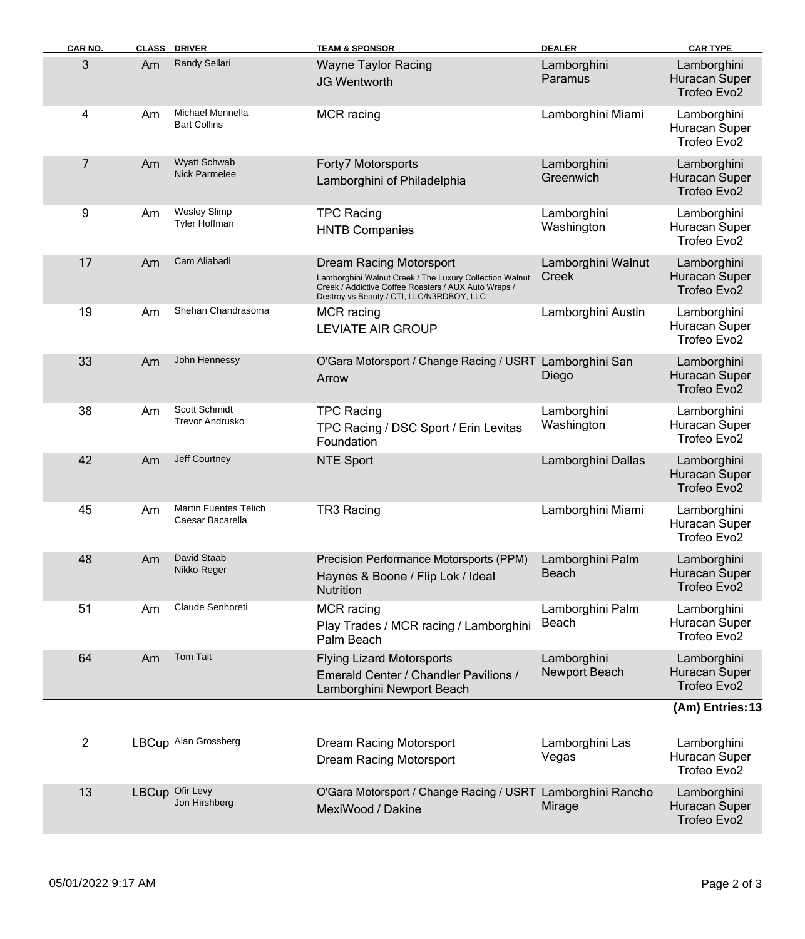| <b>CAR NO.</b> |    | <b>CLASS DRIVER</b>                              | <b>TEAM &amp; SPONSOR</b>                                                                                                                                                                      | <b>DEALER</b>                | <b>CAR TYPE</b>                                         |
|----------------|----|--------------------------------------------------|------------------------------------------------------------------------------------------------------------------------------------------------------------------------------------------------|------------------------------|---------------------------------------------------------|
| 3              | Am | Randy Sellari                                    | <b>Wayne Taylor Racing</b><br><b>JG Wentworth</b>                                                                                                                                              | Lamborghini<br>Paramus       | Lamborghini<br>Huracan Super<br>Trofeo Evo2             |
| 4              | Am | Michael Mennella<br><b>Bart Collins</b>          | <b>MCR</b> racing                                                                                                                                                                              | Lamborghini Miami            | Lamborghini<br>Huracan Super<br>Trofeo Evo2             |
| $\overline{7}$ | Am | <b>Wyatt Schwab</b><br><b>Nick Parmelee</b>      | Forty7 Motorsports<br>Lamborghini of Philadelphia                                                                                                                                              | Lamborghini<br>Greenwich     | Lamborghini<br>Huracan Super<br>Trofeo Evo2             |
| 9              | Am | <b>Wesley Slimp</b><br>Tyler Hoffman             | <b>TPC Racing</b><br><b>HNTB Companies</b>                                                                                                                                                     | Lamborghini<br>Washington    | Lamborghini<br>Huracan Super<br>Trofeo Evo2             |
| 17             | Am | Cam Aliabadi                                     | <b>Dream Racing Motorsport</b><br>Lamborghini Walnut Creek / The Luxury Collection Walnut<br>Creek / Addictive Coffee Roasters / AUX Auto Wraps /<br>Destroy vs Beauty / CTI, LLC/N3RDBOY, LLC | Lamborghini Walnut<br>Creek  | Lamborghini<br>Huracan Super<br>Trofeo Evo2             |
| 19             | Am | Shehan Chandrasoma                               | <b>MCR</b> racing<br><b>LEVIATE AIR GROUP</b>                                                                                                                                                  | Lamborghini Austin           | Lamborghini<br>Huracan Super<br>Trofeo Evo <sub>2</sub> |
| 33             | Am | John Hennessy                                    | O'Gara Motorsport / Change Racing / USRT Lamborghini San<br>Arrow                                                                                                                              | Diego                        | Lamborghini<br>Huracan Super<br>Trofeo Evo2             |
| 38             | Am | Scott Schmidt<br><b>Trevor Andrusko</b>          | <b>TPC Racing</b><br>TPC Racing / DSC Sport / Erin Levitas<br>Foundation                                                                                                                       | Lamborghini<br>Washington    | Lamborghini<br>Huracan Super<br>Trofeo Evo2             |
| 42             | Am | Jeff Courtney                                    | <b>NTE Sport</b>                                                                                                                                                                               | Lamborghini Dallas           | Lamborghini<br><b>Huracan Super</b><br>Trofeo Evo2      |
| 45             | Am | <b>Martin Fuentes Telich</b><br>Caesar Bacarella | TR3 Racing                                                                                                                                                                                     | Lamborghini Miami            | Lamborghini<br>Huracan Super<br>Trofeo Evo2             |
| 48             | Am | David Staab<br>Nikko Reger                       | Precision Performance Motorsports (PPM)<br>Haynes & Boone / Flip Lok / Ideal<br><b>Nutrition</b>                                                                                               | Lamborghini Palm<br>Beach    | Lamborghini<br>Huracan Super<br>Trofeo Evo2             |
| 51             | Am | Claude Senhoreti                                 | MCR racing<br>Play Trades / MCR racing / Lamborghini<br>Palm Beach                                                                                                                             | Lamborghini Palm<br>Beach    | Lamborghini<br>Huracan Super<br>Trofeo Evo <sub>2</sub> |
| 64             | Am | <b>Tom Tait</b>                                  | <b>Flying Lizard Motorsports</b><br>Emerald Center / Chandler Pavilions /<br>Lamborghini Newport Beach                                                                                         | Lamborghini<br>Newport Beach | Lamborghini<br>Huracan Super<br>Trofeo Evo2             |
|                |    |                                                  |                                                                                                                                                                                                |                              | (Am) Entries: 13                                        |
| $\overline{c}$ |    | LBCup Alan Grossberg                             | <b>Dream Racing Motorsport</b><br>Dream Racing Motorsport                                                                                                                                      | Lamborghini Las<br>Vegas     | Lamborghini<br>Huracan Super<br>Trofeo Evo2             |
| 13             |    | LBCup Ofir Levy<br>Jon Hirshberg                 | O'Gara Motorsport / Change Racing / USRT Lamborghini Rancho<br>MexiWood / Dakine                                                                                                               | Mirage                       | Lamborghini<br>Huracan Super<br>Trofeo Evo2             |